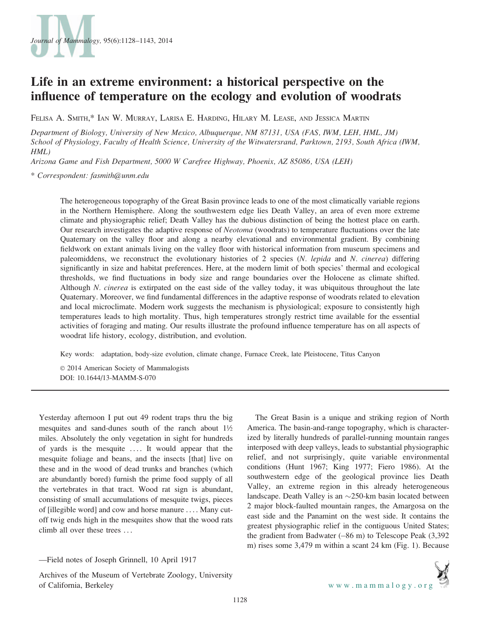

# Life in an extreme environment: a historical perspective on the influence of temperature on the ecology and evolution of woodrats

FELISA A. SMITH,\* IAN W. MURRAY, LARISA E. HARDING, HILARY M. LEASE, AND JESSICA MARTIN

Department of Biology, University of New Mexico, Albuquerque, NM 87131, USA (FAS, IWM, LEH, HML, JM) School of Physiology, Faculty of Health Science, University of the Witwatersrand, Parktown, 2193, South Africa (IWM, HML)

Arizona Game and Fish Department, 5000 W Carefree Highway, Phoenix, AZ 85086, USA (LEH)

\* Correspondent: fasmith@unm.edu

The heterogeneous topography of the Great Basin province leads to one of the most climatically variable regions in the Northern Hemisphere. Along the southwestern edge lies Death Valley, an area of even more extreme climate and physiographic relief; Death Valley has the dubious distinction of being the hottest place on earth. Our research investigates the adaptive response of *Neotoma* (woodrats) to temperature fluctuations over the late Quaternary on the valley floor and along a nearby elevational and environmental gradient. By combining fieldwork on extant animals living on the valley floor with historical information from museum specimens and paleomiddens, we reconstruct the evolutionary histories of 2 species (N. lepida and N. cinerea) differing significantly in size and habitat preferences. Here, at the modern limit of both species' thermal and ecological thresholds, we find fluctuations in body size and range boundaries over the Holocene as climate shifted. Although N. cinerea is extirpated on the east side of the valley today, it was ubiquitous throughout the late Quaternary. Moreover, we find fundamental differences in the adaptive response of woodrats related to elevation and local microclimate. Modern work suggests the mechanism is physiological; exposure to consistently high temperatures leads to high mortality. Thus, high temperatures strongly restrict time available for the essential activities of foraging and mating. Our results illustrate the profound influence temperature has on all aspects of woodrat life history, ecology, distribution, and evolution.

Key words: adaptation, body-size evolution, climate change, Furnace Creek, late Pleistocene, Titus Canyon

 $© 2014$  American Society of Mammalogists DOI: 10.1644/13-MAMM-S-070

Yesterday afternoon I put out 49 rodent traps thru the big mesquites and sand-dunes south of the ranch about 1½ miles. Absolutely the only vegetation in sight for hundreds of yards is the mesquite . . . . It would appear that the mesquite foliage and beans, and the insects [that] live on these and in the wood of dead trunks and branches (which are abundantly bored) furnish the prime food supply of all the vertebrates in that tract. Wood rat sign is abundant, consisting of small accumulations of mesquite twigs, pieces of [illegible word] and cow and horse manure . . . . Many cutoff twig ends high in the mesquites show that the wood rats climb all over these trees ...

—Field notes of Joseph Grinnell, 10 April 1917

Archives of the Museum of Vertebrate Zoology, University of California, Berkeley

The Great Basin is a unique and striking region of North America. The basin-and-range topography, which is characterized by literally hundreds of parallel-running mountain ranges interposed with deep valleys, leads to substantial physiographic relief, and not surprisingly, quite variable environmental conditions (Hunt 1967; King 1977; Fiero 1986). At the southwestern edge of the geological province lies Death Valley, an extreme region in this already heterogeneous landscape. Death Valley is an  $\sim$ 250-km basin located between 2 major block-faulted mountain ranges, the Amargosa on the east side and the Panamint on the west side. It contains the greatest physiographic relief in the contiguous United States; the gradient from Badwater (-86 m) to Telescope Peak (3,392 m) rises some 3,479 m within a scant 24 km (Fig. 1). Because

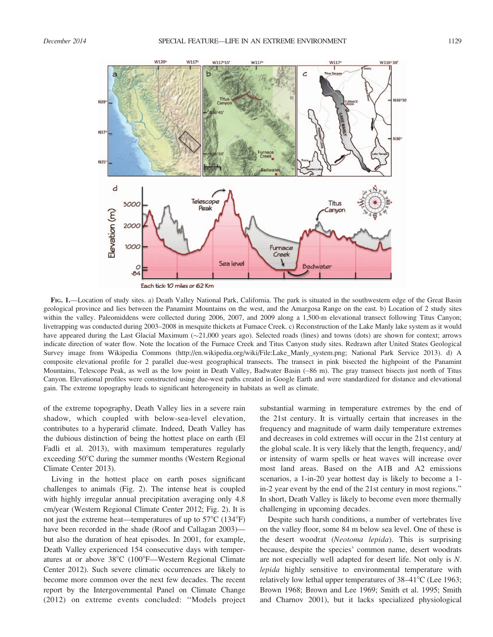

FIG. 1.—Location of study sites. a) Death Valley National Park, California. The park is situated in the southwestern edge of the Great Basin geological province and lies between the Panamint Mountains on the west, and the Amargosa Range on the east. b) Location of 2 study sites within the valley. Paleomiddens were collected during 2006, 2007, and 2009 along a 1,500-m elevational transect following Titus Canyon; livetrapping was conducted during 2003–2008 in mesquite thickets at Furnace Creek. c) Reconstruction of the Lake Manly lake system as it would have appeared during the Last Glacial Maximum (~21,000 years ago). Selected roads (lines) and towns (dots) are shown for context; arrows indicate direction of water flow. Note the location of the Furnace Creek and Titus Canyon study sites. Redrawn after United States Geological Survey image from Wikipedia Commons (http://en.wikipedia.org/wiki/File:Lake\_Manly\_system.png; National Park Service 2013). d) A composite elevational profile for 2 parallel due-west geographical transects. The transect in pink bisected the highpoint of the Panamint Mountains, Telescope Peak, as well as the low point in Death Valley, Badwater Basin (-86 m). The gray transect bisects just north of Titus Canyon. Elevational profiles were constructed using due-west paths created in Google Earth and were standardized for distance and elevational gain. The extreme topography leads to significant heterogeneity in habitats as well as climate.

of the extreme topography, Death Valley lies in a severe rain shadow, which coupled with below-sea-level elevation, contributes to a hyperarid climate. Indeed, Death Valley has the dubious distinction of being the hottest place on earth (El Fadli et al. 2013), with maximum temperatures regularly exceeding 50°C during the summer months (Western Regional Climate Center 2013).

Living in the hottest place on earth poses significant challenges to animals (Fig. 2). The intense heat is coupled with highly irregular annual precipitation averaging only 4.8 cm/year (Western Regional Climate Center 2012; Fig. 2). It is not just the extreme heat—temperatures of up to  $57^{\circ}$ C (134 $^{\circ}$ F) have been recorded in the shade (Roof and Callagan 2003) but also the duration of heat episodes. In 2001, for example, Death Valley experienced 154 consecutive days with temperatures at or above  $38^{\circ}$ C (100 $^{\circ}$ F—Western Regional Climate Center 2012). Such severe climatic occurrences are likely to become more common over the next few decades. The recent report by the Intergovernmental Panel on Climate Change (2012) on extreme events concluded: ''Models project substantial warming in temperature extremes by the end of the 21st century. It is virtually certain that increases in the frequency and magnitude of warm daily temperature extremes and decreases in cold extremes will occur in the 21st century at the global scale. It is very likely that the length, frequency, and/ or intensity of warm spells or heat waves will increase over most land areas. Based on the A1B and A2 emissions scenarios, a 1-in-20 year hottest day is likely to become a 1 in-2 year event by the end of the 21st century in most regions.'' In short, Death Valley is likely to become even more thermally challenging in upcoming decades.

Despite such harsh conditions, a number of vertebrates live on the valley floor, some 84 m below sea level. One of these is the desert woodrat (Neotoma lepida). This is surprising because, despite the species' common name, desert woodrats are not especially well adapted for desert life. Not only is N. lepida highly sensitive to environmental temperature with relatively low lethal upper temperatures of  $38-41^{\circ}$ C (Lee 1963; Brown 1968; Brown and Lee 1969; Smith et al. 1995; Smith and Charnov 2001), but it lacks specialized physiological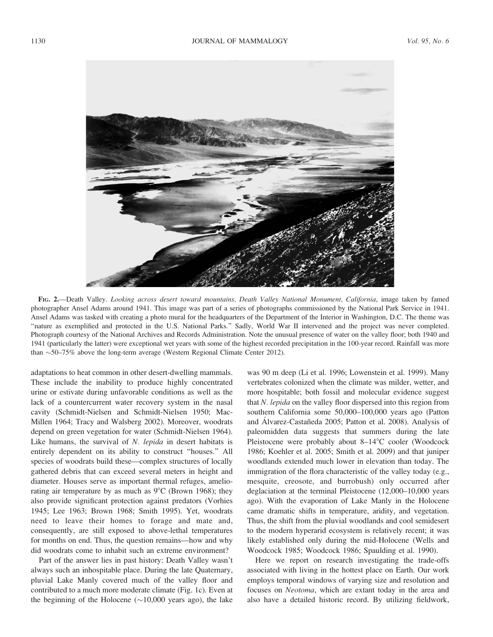

FIG. 2.—Death Valley. Looking across desert toward mountains, Death Valley National Monument, California, image taken by famed photographer Ansel Adams around 1941. This image was part of a series of photographs commissioned by the National Park Service in 1941. Ansel Adams was tasked with creating a photo mural for the headquarters of the Department of the Interior in Washington, D.C. The theme was ''nature as exemplified and protected in the U.S. National Parks.'' Sadly, World War II intervened and the project was never completed. Photograph courtesy of the National Archives and Records Administration. Note the unusual presence of water on the valley floor; both 1940 and 1941 (particularly the latter) were exceptional wet years with some of the highest recorded precipitation in the 100-year record. Rainfall was more than  $\sim$  50–75% above the long-term average (Western Regional Climate Center 2012).

adaptations to heat common in other desert-dwelling mammals. These include the inability to produce highly concentrated urine or estivate during unfavorable conditions as well as the lack of a countercurrent water recovery system in the nasal cavity (Schmidt-Nielsen and Schmidt-Nielsen 1950; Mac-Millen 1964; Tracy and Walsberg 2002). Moreover, woodrats depend on green vegetation for water (Schmidt-Nielsen 1964). Like humans, the survival of  $N$ . *lepida* in desert habitats is entirely dependent on its ability to construct ''houses.'' All species of woodrats build these—complex structures of locally gathered debris that can exceed several meters in height and diameter. Houses serve as important thermal refuges, ameliorating air temperature by as much as  $9^{\circ}C$  (Brown 1968); they also provide significant protection against predators (Vorhies 1945; Lee 1963; Brown 1968; Smith 1995). Yet, woodrats need to leave their homes to forage and mate and, consequently, are still exposed to above-lethal temperatures for months on end. Thus, the question remains—how and why did woodrats come to inhabit such an extreme environment?

Part of the answer lies in past history: Death Valley wasn't always such an inhospitable place. During the late Quaternary, pluvial Lake Manly covered much of the valley floor and contributed to a much more moderate climate (Fig. 1c). Even at the beginning of the Holocene ( $\sim$ 10,000 years ago), the lake

was 90 m deep (Li et al. 1996; Lowenstein et al. 1999). Many vertebrates colonized when the climate was milder, wetter, and more hospitable; both fossil and molecular evidence suggest that N. lepida on the valley floor dispersed into this region from southern California some 50,000–100,000 years ago (Patton and Álvarez-Castañeda 2005; Patton et al. 2008). Analysis of paleomidden data suggests that summers during the late Pleistocene were probably about 8-14°C cooler (Woodcock 1986; Koehler et al. 2005; Smith et al. 2009) and that juniper woodlands extended much lower in elevation than today. The immigration of the flora characteristic of the valley today (e.g., mesquite, creosote, and burrobush) only occurred after deglaciation at the terminal Pleistocene (12,000–10,000 years ago). With the evaporation of Lake Manly in the Holocene came dramatic shifts in temperature, aridity, and vegetation. Thus, the shift from the pluvial woodlands and cool semidesert to the modern hyperarid ecosystem is relatively recent; it was likely established only during the mid-Holocene (Wells and Woodcock 1985; Woodcock 1986; Spaulding et al. 1990).

Here we report on research investigating the trade-offs associated with living in the hottest place on Earth. Our work employs temporal windows of varying size and resolution and focuses on Neotoma, which are extant today in the area and also have a detailed historic record. By utilizing fieldwork,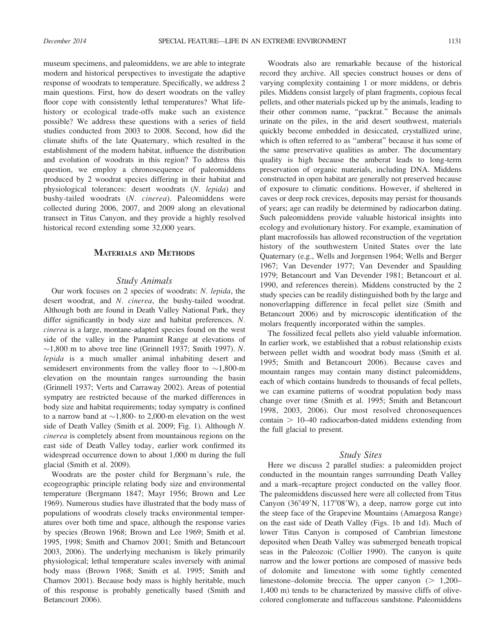museum specimens, and paleomiddens, we are able to integrate modern and historical perspectives to investigate the adaptive response of woodrats to temperature. Specifically, we address 2 main questions. First, how do desert woodrats on the valley floor cope with consistently lethal temperatures? What lifehistory or ecological trade-offs make such an existence possible? We address these questions with a series of field studies conducted from 2003 to 2008. Second, how did the climate shifts of the late Quaternary, which resulted in the establishment of the modern habitat, influence the distribution and evolution of woodrats in this region? To address this question, we employ a chronosequence of paleomiddens produced by 2 woodrat species differing in their habitat and physiological tolerances: desert woodrats (N. lepida) and bushy-tailed woodrats (N. cinerea). Paleomiddens were collected during 2006, 2007, and 2009 along an elevational transect in Titus Canyon, and they provide a highly resolved historical record extending some 32,000 years.

#### MATERIALS AND METHODS

#### Study Animals

Our work focuses on 2 species of woodrats: N. lepida, the desert woodrat, and N. cinerea, the bushy-tailed woodrat. Although both are found in Death Valley National Park, they differ significantly in body size and habitat preferences. N. cinerea is a large, montane-adapted species found on the west side of the valley in the Panamint Range at elevations of  $\sim$ 1,800 m to above tree line (Grinnell 1937; Smith 1997). N. lepida is a much smaller animal inhabiting desert and semidesert environments from the valley floor to  $\sim$ 1,800-m elevation on the mountain ranges surrounding the basin (Grinnell 1937; Verts and Carraway 2002). Areas of potential sympatry are restricted because of the marked differences in body size and habitat requirements; today sympatry is confined to a narrow band at  $\sim$ 1,800- to 2,000-m elevation on the west side of Death Valley (Smith et al. 2009; Fig. 1). Although N. cinerea is completely absent from mountainous regions on the east side of Death Valley today, earlier work confirmed its widespread occurrence down to about 1,000 m during the full glacial (Smith et al. 2009).

Woodrats are the poster child for Bergmann's rule, the ecogeographic principle relating body size and environmental temperature (Bergmann 1847; Mayr 1956; Brown and Lee 1969). Numerous studies have illustrated that the body mass of populations of woodrats closely tracks environmental temperatures over both time and space, although the response varies by species (Brown 1968; Brown and Lee 1969; Smith et al. 1995, 1998; Smith and Charnov 2001; Smith and Betancourt 2003, 2006). The underlying mechanism is likely primarily physiological; lethal temperature scales inversely with animal body mass (Brown 1968; Smith et al. 1995; Smith and Charnov 2001). Because body mass is highly heritable, much of this response is probably genetically based (Smith and Betancourt 2006).

Woodrats also are remarkable because of the historical record they archive. All species construct houses or dens of varying complexity containing 1 or more middens, or debris piles. Middens consist largely of plant fragments, copious fecal pellets, and other materials picked up by the animals, leading to their other common name, ''packrat.'' Because the animals urinate on the piles, in the arid desert southwest, materials quickly become embedded in desiccated, crystallized urine, which is often referred to as ''amberat'' because it has some of the same preservative qualities as amber. The documentary quality is high because the amberat leads to long-term preservation of organic materials, including DNA. Middens constructed in open habitat are generally not preserved because of exposure to climatic conditions. However, if sheltered in caves or deep rock crevices, deposits may persist for thousands of years; age can readily be determined by radiocarbon dating. Such paleomiddens provide valuable historical insights into ecology and evolutionary history. For example, examination of plant macrofossils has allowed reconstruction of the vegetation history of the southwestern United States over the late Quaternary (e.g., Wells and Jorgensen 1964; Wells and Berger 1967; Van Devender 1977; Van Devender and Spaulding 1979; Betancourt and Van Devender 1981; Betancourt et al. 1990, and references therein). Middens constructed by the 2 study species can be readily distinguished both by the large and nonoverlapping difference in fecal pellet size (Smith and Betancourt 2006) and by microscopic identification of the molars frequently incorporated within the samples.

The fossilized fecal pellets also yield valuable information. In earlier work, we established that a robust relationship exists between pellet width and woodrat body mass (Smith et al. 1995; Smith and Betancourt 2006). Because caves and mountain ranges may contain many distinct paleomiddens, each of which contains hundreds to thousands of fecal pellets, we can examine patterns of woodrat population body mass change over time (Smith et al. 1995; Smith and Betancourt 1998, 2003, 2006). Our most resolved chronosequences contain  $> 10-40$  radiocarbon-dated middens extending from the full glacial to present.

## Study Sites

Here we discuss 2 parallel studies: a paleomidden project conducted in the mountain ranges surrounding Death Valley and a mark–recapture project conducted on the valley floor. The paleomiddens discussed here were all collected from Titus Canyon (36°49'N, 117°08'W), a deep, narrow gorge cut into the steep face of the Grapevine Mountains (Amargosa Range) on the east side of Death Valley (Figs. 1b and 1d). Much of lower Titus Canyon is composed of Cambrian limestone deposited when Death Valley was submerged beneath tropical seas in the Paleozoic (Collier 1990). The canyon is quite narrow and the lower portions are composed of massive beds of dolomite and limestone with some tightly cemented limestone–dolomite breccia. The upper canyon  $(> 1,200-$ 1,400 m) tends to be characterized by massive cliffs of olivecolored conglomerate and tuffaceous sandstone. Paleomiddens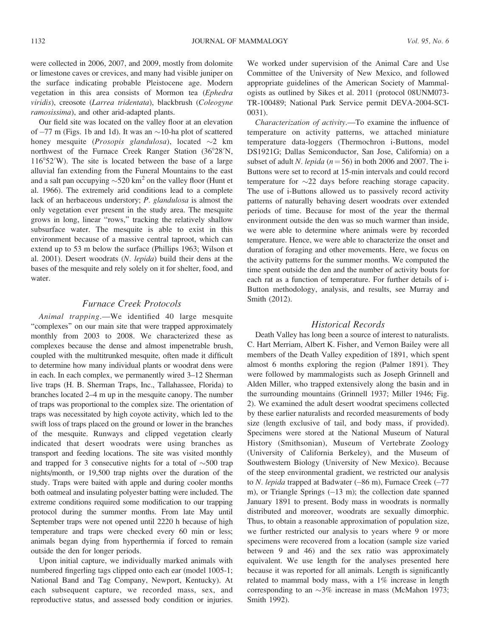were collected in 2006, 2007, and 2009, mostly from dolomite or limestone caves or crevices, and many had visible juniper on the surface indicating probable Pleistocene age. Modern vegetation in this area consists of Mormon tea (Ephedra viridis), creosote (Larrea tridentata), blackbrush (Coleogyne ramosissima), and other arid-adapted plants.

Our field site was located on the valley floor at an elevation of  $-77$  m (Figs. 1b and 1d). It was an  $\sim$ 10-ha plot of scattered honey mesquite (*Prosopis glandulosa*), located  $\sim$ 2 km northwest of the Furnace Creek Ranger Station (36°28'N,  $116^{\circ}52'$ W). The site is located between the base of a large alluvial fan extending from the Funeral Mountains to the east and a salt pan occupying  $\sim$  520 km<sup>2</sup> on the valley floor (Hunt et al. 1966). The extremely arid conditions lead to a complete lack of an herbaceous understory; P. glandulosa is almost the only vegetation ever present in the study area. The mesquite grows in long, linear ''rows,'' tracking the relatively shallow subsurface water. The mesquite is able to exist in this environment because of a massive central taproot, which can extend up to 53 m below the surface (Phillips 1963; Wilson et al. 2001). Desert woodrats (N. lepida) build their dens at the bases of the mesquite and rely solely on it for shelter, food, and water.

#### Furnace Creek Protocols

Animal trapping.—We identified 40 large mesquite ''complexes'' on our main site that were trapped approximately monthly from 2003 to 2008. We characterized these as complexes because the dense and almost impenetrable brush, coupled with the multitrunked mesquite, often made it difficult to determine how many individual plants or woodrat dens were in each. In each complex, we permanently wired 3–12 Sherman live traps (H. B. Sherman Traps, Inc., Tallahassee, Florida) to branches located 2–4 m up in the mesquite canopy. The number of traps was proportional to the complex size. The orientation of traps was necessitated by high coyote activity, which led to the swift loss of traps placed on the ground or lower in the branches of the mesquite. Runways and clipped vegetation clearly indicated that desert woodrats were using branches as transport and feeding locations. The site was visited monthly and trapped for 3 consecutive nights for a total of  $\sim$ 500 trap nights/month, or 19,500 trap nights over the duration of the study. Traps were baited with apple and during cooler months both oatmeal and insulating polyester batting were included. The extreme conditions required some modification to our trapping protocol during the summer months. From late May until September traps were not opened until 2220 h because of high temperature and traps were checked every 60 min or less; animals began dying from hyperthermia if forced to remain outside the den for longer periods.

Upon initial capture, we individually marked animals with numbered fingerling tags clipped onto each ear (model 1005-1; National Band and Tag Company, Newport, Kentucky). At each subsequent capture, we recorded mass, sex, and reproductive status, and assessed body condition or injuries.

We worked under supervision of the Animal Care and Use Committee of the University of New Mexico, and followed appropriate guidelines of the American Society of Mammalogists as outlined by Sikes et al. 2011 (protocol 08UNM073- TR-100489; National Park Service permit DEVA-2004-SCI-0031).

Characterization of activity.—To examine the influence of temperature on activity patterns, we attached miniature temperature data-loggers (Thermochron i-Buttons, model DS1921G; Dallas Semiconductor, San Jose, California) on a subset of adult *N*. *lepida* ( $n = 56$ ) in both 2006 and 2007. The i-Buttons were set to record at 15-min intervals and could record temperature for  $\sim$ 22 days before reaching storage capacity. The use of i-Buttons allowed us to passively record activity patterns of naturally behaving desert woodrats over extended periods of time. Because for most of the year the thermal environment outside the den was so much warmer than inside, we were able to determine where animals were by recorded temperature. Hence, we were able to characterize the onset and duration of foraging and other movements. Here, we focus on the activity patterns for the summer months. We computed the time spent outside the den and the number of activity bouts for each rat as a function of temperature. For further details of i-Button methodology, analysis, and results, see Murray and Smith (2012).

#### Historical Records

Death Valley has long been a source of interest to naturalists. C. Hart Merriam, Albert K. Fisher, and Vernon Bailey were all members of the Death Valley expedition of 1891, which spent almost 6 months exploring the region (Palmer 1891). They were followed by mammalogists such as Joseph Grinnell and Alden Miller, who trapped extensively along the basin and in the surrounding mountains (Grinnell 1937; Miller 1946; Fig. 2). We examined the adult desert woodrat specimens collected by these earlier naturalists and recorded measurements of body size (length exclusive of tail, and body mass, if provided). Specimens were stored at the National Museum of Natural History (Smithsonian), Museum of Vertebrate Zoology (University of California Berkeley), and the Museum of Southwestern Biology (University of New Mexico). Because of the steep environmental gradient, we restricted our analysis to N. lepida trapped at Badwater (-86 m), Furnace Creek (-77 m), or Triangle Springs (-13 m); the collection date spanned January 1891 to present. Body mass in woodrats is normally distributed and moreover, woodrats are sexually dimorphic. Thus, to obtain a reasonable approximation of population size, we further restricted our analysis to years where 9 or more specimens were recovered from a location (sample size varied between 9 and 46) and the sex ratio was approximately equivalent. We use length for the analyses presented here because it was reported for all animals. Length is significantly related to mammal body mass, with a 1% increase in length corresponding to an  $\sim$ 3% increase in mass (McMahon 1973; Smith 1992).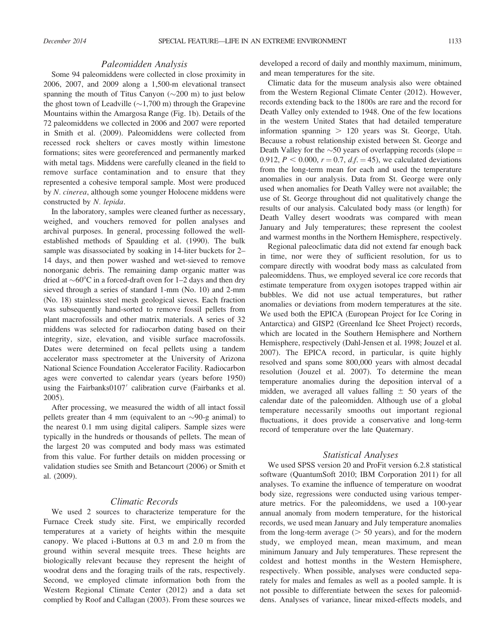### Paleomidden Analysis

Some 94 paleomiddens were collected in close proximity in 2006, 2007, and 2009 along a 1,500-m elevational transect spanning the mouth of Titus Canyon  $(\sim 200 \text{ m})$  to just below the ghost town of Leadville  $(\sim 1,700 \text{ m})$  through the Grapevine Mountains within the Amargosa Range (Fig. 1b). Details of the 72 paleomiddens we collected in 2006 and 2007 were reported in Smith et al. (2009). Paleomiddens were collected from recessed rock shelters or caves mostly within limestone formations; sites were georeferenced and permanently marked with metal tags. Middens were carefully cleaned in the field to remove surface contamination and to ensure that they represented a cohesive temporal sample. Most were produced by N. cinerea, although some younger Holocene middens were constructed by N. lepida.

In the laboratory, samples were cleaned further as necessary, weighed, and vouchers removed for pollen analyses and archival purposes. In general, processing followed the wellestablished methods of Spaulding et al. (1990). The bulk sample was disassociated by soaking in 14-liter buckets for 2– 14 days, and then power washed and wet-sieved to remove nonorganic debris. The remaining damp organic matter was dried at  $\sim 60^{\circ}$ C in a forced-draft oven for 1–2 days and then dry sieved through a series of standard 1-mm (No. 10) and 2-mm (No. 18) stainless steel mesh geological sieves. Each fraction was subsequently hand-sorted to remove fossil pellets from plant macrofossils and other matrix materials. A series of 32 middens was selected for radiocarbon dating based on their integrity, size, elevation, and visible surface macrofossils. Dates were determined on fecal pellets using a tandem accelerator mass spectrometer at the University of Arizona National Science Foundation Accelerator Facility. Radiocarbon ages were converted to calendar years (years before 1950) using the Fairbanks $0107'$  calibration curve (Fairbanks et al. 2005).

After processing, we measured the width of all intact fossil pellets greater than 4 mm (equivalent to an  $\sim$ 90-g animal) to the nearest 0.1 mm using digital calipers. Sample sizes were typically in the hundreds or thousands of pellets. The mean of the largest 20 was computed and body mass was estimated from this value. For further details on midden processing or validation studies see Smith and Betancourt (2006) or Smith et al. (2009).

## Climatic Records

We used 2 sources to characterize temperature for the Furnace Creek study site. First, we empirically recorded temperatures at a variety of heights within the mesquite canopy. We placed i-Buttons at 0.3 m and 2.0 m from the ground within several mesquite trees. These heights are biologically relevant because they represent the height of woodrat dens and the foraging trails of the rats, respectively. Second, we employed climate information both from the Western Regional Climate Center (2012) and a data set complied by Roof and Callagan (2003). From these sources we developed a record of daily and monthly maximum, minimum, and mean temperatures for the site.

Climatic data for the museum analysis also were obtained from the Western Regional Climate Center (2012). However, records extending back to the 1800s are rare and the record for Death Valley only extended to 1948. One of the few locations in the western United States that had detailed temperature information spanning  $> 120$  years was St. George, Utah. Because a robust relationship existed between St. George and Death Valley for the  $\sim$  50 years of overlapping records (slope = 0.912,  $P < 0.000$ ,  $r = 0.7$ ,  $df = 45$ ), we calculated deviations from the long-term mean for each and used the temperature anomalies in our analysis. Data from St. George were only used when anomalies for Death Valley were not available; the use of St. George throughout did not qualitatively change the results of our analysis. Calculated body mass (or length) for Death Valley desert woodrats was compared with mean January and July temperatures; these represent the coolest and warmest months in the Northern Hemisphere, respectively.

Regional paleoclimatic data did not extend far enough back in time, nor were they of sufficient resolution, for us to compare directly with woodrat body mass as calculated from paleomiddens. Thus, we employed several ice core records that estimate temperature from oxygen isotopes trapped within air bubbles. We did not use actual temperatures, but rather anomalies or deviations from modern temperatures at the site. We used both the EPICA (European Project for Ice Coring in Antarctica) and GISP2 (Greenland Ice Sheet Project) records, which are located in the Southern Hemisphere and Northern Hemisphere, respectively (Dahl-Jensen et al. 1998; Jouzel et al. 2007). The EPICA record, in particular, is quite highly resolved and spans some 800,000 years with almost decadal resolution (Jouzel et al. 2007). To determine the mean temperature anomalies during the deposition interval of a midden, we averaged all values falling  $\pm$  50 years of the calendar date of the paleomidden. Although use of a global temperature necessarily smooths out important regional fluctuations, it does provide a conservative and long-term record of temperature over the late Quaternary.

#### Statistical Analyses

We used SPSS version 20 and ProFit version 6.2.8 statistical software (QuantumSoft 2010; IBM Corporation 2011) for all analyses. To examine the influence of temperature on woodrat body size, regressions were conducted using various temperature metrics. For the paleomiddens, we used a 100-year annual anomaly from modern temperature, for the historical records, we used mean January and July temperature anomalies from the long-term average  $($  > 50 years), and for the modern study, we employed mean, mean maximum, and mean minimum January and July temperatures. These represent the coldest and hottest months in the Western Hemisphere, respectively. When possible, analyses were conducted separately for males and females as well as a pooled sample. It is not possible to differentiate between the sexes for paleomiddens. Analyses of variance, linear mixed-effects models, and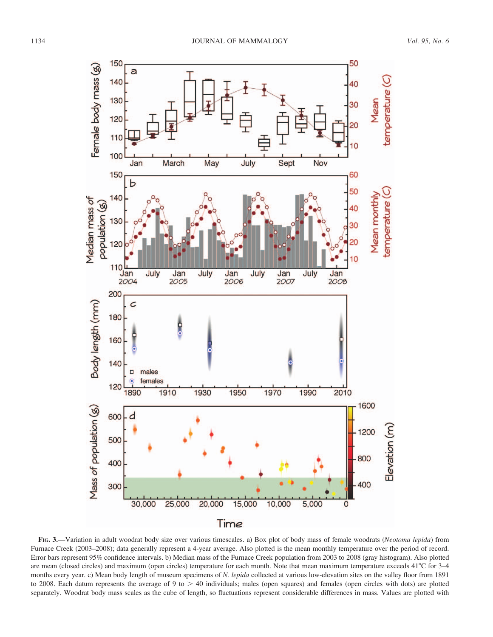

FIG. 3.—Variation in adult woodrat body size over various timescales. a) Box plot of body mass of female woodrats (Neotoma lepida) from Furnace Creek (2003–2008); data generally represent a 4-year average. Also plotted is the mean monthly temperature over the period of record. Error bars represent 95% confidence intervals. b) Median mass of the Furnace Creek population from 2003 to 2008 (gray histogram). Also plotted are mean (closed circles) and maximum (open circles) temperature for each month. Note that mean maximum temperature exceeds 41°C for 3–4 months every year. c) Mean body length of museum specimens of N. lepida collected at various low-elevation sites on the valley floor from 1891 to 2008. Each datum represents the average of 9 to  $> 40$  individuals; males (open squares) and females (open circles with dots) are plotted separately. Woodrat body mass scales as the cube of length, so fluctuations represent considerable differences in mass. Values are plotted with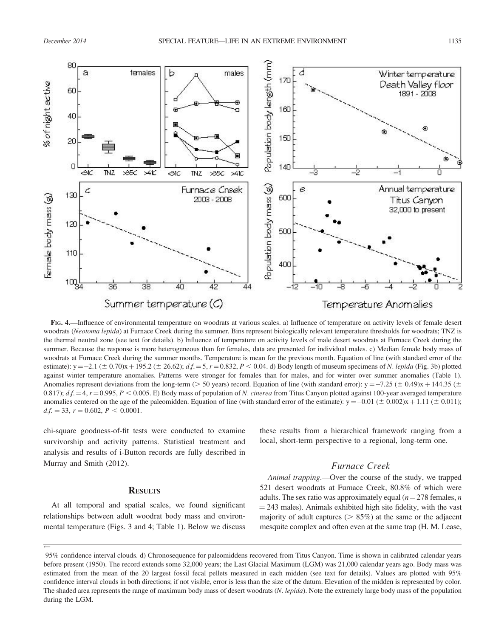

FIG. 4.—Influence of environmental temperature on woodrats at various scales. a) Influence of temperature on activity levels of female desert woodrats (Neotoma lepida) at Furnace Creek during the summer. Bins represent biologically relevant temperature thresholds for woodrats; TNZ is the thermal neutral zone (see text for details). b) Influence of temperature on activity levels of male desert woodrats at Furnace Creek during the summer. Because the response is more heterogeneous than for females, data are presented for individual males. c) Median female body mass of woodrats at Furnace Creek during the summer months. Temperature is mean for the previous month. Equation of line (with standard error of the estimate):  $y = -2.1 \, (\pm 0.70)x + 195.2 \, (\pm 26.62); \, df = 5, r = 0.832, P < 0.04$ . d) Body length of museum specimens of N. lepida (Fig. 3b) plotted against winter temperature anomalies. Patterns were stronger for females than for males, and for winter over summer anomalies (Table 1). Anomalies represent deviations from the long-term ( $> 50$  years) record. Equation of line (with standard error):  $y = -7.25 \ ( \pm 0.49)x + 144.35 \ ( \pm 0.49)x$ 0.817);  $d.f. = 4$ ,  $r = 0.995$ ,  $P < 0.005$ . E) Body mass of population of N. cinerea from Titus Canyon plotted against 100-year averaged temperature anomalies centered on the age of the paleomidden. Equation of line (with standard error of the estimate):  $y = -0.01$  ( $\pm$  0.002)x + 1.11 ( $\pm$  0.011);  $df = 33, r = 0.602, P < 0.0001.$ 

chi-square goodness-of-fit tests were conducted to examine survivorship and activity patterns. Statistical treatment and analysis and results of i-Button records are fully described in Murray and Smith (2012).

### **RESULTS**

At all temporal and spatial scales, we found significant relationships between adult woodrat body mass and environmental temperature (Figs. 3 and 4; Table 1). Below we discuss

 $\leftarrow$ 

these results from a hierarchical framework ranging from a local, short-term perspective to a regional, long-term one.

# Furnace Creek

Animal trapping.—Over the course of the study, we trapped 521 desert woodrats at Furnace Creek, 80.8% of which were adults. The sex ratio was approximately equal  $(n=278$  females, n  $=$  243 males). Animals exhibited high site fidelity, with the vast majority of adult captures ( $> 85\%$ ) at the same or the adjacent mesquite complex and often even at the same trap (H. M. Lease,

<sup>95%</sup> confidence interval clouds. d) Chronosequence for paleomiddens recovered from Titus Canyon. Time is shown in calibrated calendar years before present (1950). The record extends some 32,000 years; the Last Glacial Maximum (LGM) was 21,000 calendar years ago. Body mass was estimated from the mean of the 20 largest fossil fecal pellets measured in each midden (see text for details). Values are plotted with 95% confidence interval clouds in both directions; if not visible, error is less than the size of the datum. Elevation of the midden is represented by color. The shaded area represents the range of maximum body mass of desert woodrats (N. lepida). Note the extremely large body mass of the population during the LGM.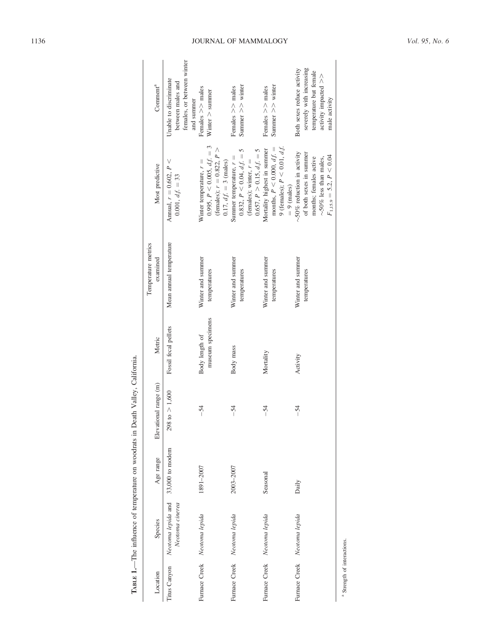| Location     | Species                      | Age range        | Elevational range (m)          | Metric               | Temperature metrics<br>examined | Most predictive                                                    | Comment <sup>a</sup>                            |
|--------------|------------------------------|------------------|--------------------------------|----------------------|---------------------------------|--------------------------------------------------------------------|-------------------------------------------------|
| Titus Canyon | Neotoma lepida and           | 33,000 to modern | to > 1,600<br>298 <sub>1</sub> | Fossil fecal pellets | Mean annual temperature         | Annual, $r = 0.602$ , $P <$                                        | Unable to discriminate                          |
|              | Neotoma cinerea              |                  |                                |                      |                                 | $0.001, d.f. = 33$                                                 | females, or between winter<br>between males and |
|              |                              |                  |                                |                      |                                 |                                                                    | and summer                                      |
|              | Furnace Creek Neotoma lepida | 1891-2007        | $-54$                          | Body length of       | Winter and summer               | Winter temperature, $r =$                                          | Females $>>$ males                              |
|              |                              |                  |                                | museum specimens     | temperatures                    | $0.995, P < 0.005, d.f. = 3$                                       | $W$ inter $>$ summer                            |
|              |                              |                  |                                |                      |                                 | (females); $r = 0.822$ , $P >$<br>$0.17, d.f. = 3 \text{ (males)}$ |                                                 |
|              | Furnace Creek Neotoma lepida | 2003-2007        | $-54$                          | Body mass            | Winter and summer               | Summer temperature, $r =$                                          | Females $>>$ males                              |
|              |                              |                  |                                |                      | temperatures                    | 5<br>$0.832, P < 0.04, df =$                                       | Summer $>>$ winter                              |
|              |                              |                  |                                |                      |                                 | (females); winter, $r =$                                           |                                                 |
|              |                              |                  |                                |                      |                                 | $0.657, P > 0.15, df = 5$                                          |                                                 |
|              | Furnace Creek Neotoma lepida | Seasonal         | $-54$                          | Mortality            | Winter and summer               | Mortality highest in summer                                        | Females $\geq$ males                            |
|              |                              |                  |                                |                      | temperatures                    | months, $P < 0.000, d.f. =$                                        | Summer $>>$ winter                              |
|              |                              |                  |                                |                      |                                 | 9 (females); $P \leq 0.01$ , $d.f$ .                               |                                                 |
|              |                              |                  |                                |                      |                                 | $= 9$ (males)                                                      |                                                 |
|              | Furnace Creek Neotoma lepida | Daily            | $-54$                          | Activity             | Winter and summer               | ${\sim}50\%$ reduction in activity                                 | Both sexes reduce activity                      |
|              |                              |                  |                                |                      | temperatures                    | of both sexes in summer                                            | severely with increasing                        |
|              |                              |                  |                                |                      |                                 | months; females active                                             | temperature but female                          |
|              |                              |                  |                                |                      |                                 | $\sim$ 50% less than males,                                        | activity impacted $\geq$                        |
|              |                              |                  |                                |                      |                                 | $F_{1,15.9} = 5.2, P < 0.04$                                       | male activity                                   |

TABLE 1.-The influence of temperature on woodrats in Death Valley, California. TABLE 1.—The influence of temperature on woodrats in Death Valley, California.

 $^{\rm a}$  Strength of interactions. Strength of interactions.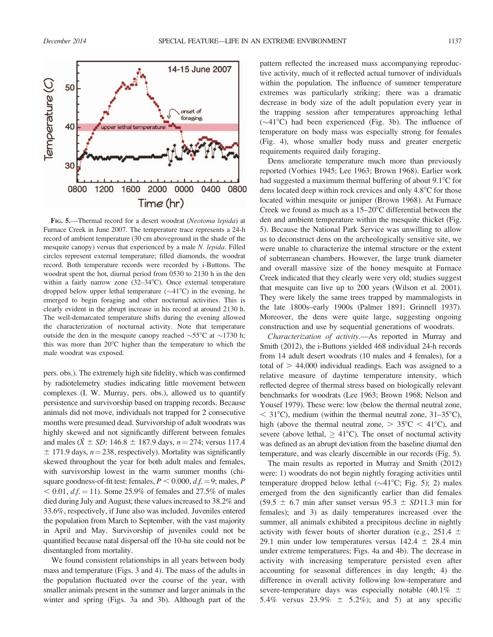

FIG. 5.—Thermal record for a desert woodrat (Neotoma lepida) at Furnace Creek in June 2007. The temperature trace represents a 24-h record of ambient temperature (30 cm aboveground in the shade of the mesquite canopy) versus that experienced by a male N. lepida. Filled circles represent external temperature; filled diamonds, the woodrat record. Both temperature records were recorded by i-Buttons. The woodrat spent the hot, diurnal period from 0530 to 2130 h in the den within a fairly narrow zone  $(32-34^{\circ}C)$ . Once external temperature dropped below upper lethal temperature  $(\sim41^{\circ}C)$  in the evening, he emerged to begin foraging and other nocturnal activities. This is clearly evident in the abrupt increase in his record at around 2130 h. The well-demarcated temperature shifts during the evening allowed the characterization of nocturnal activity. Note that temperature outside the den in the mesquite canopy reached  $\sim$ 55°C at  $\sim$ 1730 h; this was more than 20°C higher than the temperature to which the male woodrat was exposed.

pers. obs.). The extremely high site fidelity, which was confirmed by radiotelemetry studies indicating little movement between complexes (I. W. Murray, pers. obs.), allowed us to quantify persistence and survivorship based on trapping records. Because animals did not move, individuals not trapped for 2 consecutive months were presumed dead. Survivorship of adult woodrats was highly skewed and not significantly different between females and males ( $\bar{X} \pm SD$ : 146.8  $\pm$  187.9 days, n = 274; versus 117.4  $\pm$  171.9 days, n = 238, respectively). Mortality was significantly skewed throughout the year for both adult males and females, with survivorship lowest in the warm summer months (chisquare goodness-of-fit test: females,  $P \le 0.000$ ,  $d.f. = 9$ ; males, P  $< 0.01, d.f. = 11$ ). Some 25.9% of females and 27.5% of males died during July and August; these values increased to 38.2% and 33.6%, respectively, if June also was included. Juveniles entered the population from March to September, with the vast majority in April and May. Survivorship of juveniles could not be quantified because natal dispersal off the 10-ha site could not be disentangled from mortality.

We found consistent relationships in all years between body mass and temperature (Figs. 3 and 4). The mass of the adults in the population fluctuated over the course of the year, with smaller animals present in the summer and larger animals in the winter and spring (Figs. 3a and 3b). Although part of the pattern reflected the increased mass accompanying reproductive activity, much of it reflected actual turnover of individuals within the population. The influence of summer temperature extremes was particularly striking; there was a dramatic decrease in body size of the adult population every year in the trapping session after temperatures approaching lethal  $(\sim 41^{\circ}$ C) had been experienced (Fig. 3b). The influence of temperature on body mass was especially strong for females (Fig. 4), whose smaller body mass and greater energetic requirements required daily foraging.

Dens ameliorate temperature much more than previously reported (Vorhies 1945; Lee 1963; Brown 1968). Earlier work had suggested a maximum thermal buffering of about  $9.1^{\circ}$ C for dens located deep within rock crevices and only 4.8°C for those located within mesquite or juniper (Brown 1968). At Furnace Creek we found as much as a  $15-20^{\circ}$ C differential between the den and ambient temperature within the mesquite thicket (Fig. 5). Because the National Park Service was unwilling to allow us to deconstruct dens on the archeologically sensitive site, we were unable to characterize the internal structure or the extent of subterranean chambers. However, the large trunk diameter and overall massive size of the honey mesquite at Furnace Creek indicated that they clearly were very old; studies suggest that mesquite can live up to 200 years (Wilson et al. 2001). They were likely the same trees trapped by mammalogists in the late 1800s–early 1900s (Palmer 1891; Grinnell 1937). Moreover, the dens were quite large, suggesting ongoing construction and use by sequential generations of woodrats.

Characterization of activity.—As reported in Murray and Smith (2012), the i-Buttons yielded 468 individual 24-h records from 14 adult desert woodrats (10 males and 4 females), for a total of  $> 44,000$  individual readings. Each was assigned to a relative measure of daytime temperature intensity, which reflected degree of thermal stress based on biologically relevant benchmarks for woodrats (Lee 1963; Brown 1968; Nelson and Yousef 1979). These were: low (below the thermal neutral zone,  $<$  31°C), medium (within the thermal neutral zone, 31–35°C), high (above the thermal neutral zone,  $> 35^{\circ}$ C < 41°C), and severe (above lethal,  $\geq 41^{\circ}$ C). The onset of nocturnal activity was defined as an abrupt deviation from the baseline diurnal den temperature, and was clearly discernible in our records (Fig. 5).

The main results as reported in Murray and Smith (2012) were: 1) woodrats do not begin nightly foraging activities until temperature dropped below lethal  $(\sim 41^{\circ}C;$  Fig. 5); 2) males emerged from the den significantly earlier than did females  $(59.5 \pm 6.7 \text{ min after sunset versus } 95.3 \pm SD11.3 \text{ min for }$ females); and 3) as daily temperatures increased over the summer, all animals exhibited a precipitous decline in nightly activity with fewer bouts of shorter duration (e.g., 251.4  $\pm$ 29.1 min under low temperatures versus  $142.4 \pm 28.4$  min under extreme temperatures; Figs. 4a and 4b). The decrease in activity with increasing temperature persisted even after accounting for seasonal differences in day length; 4) the difference in overall activity following low-temperature and severe-temperature days was especially notable  $(40.1\% \pm$ 5.4% versus  $23.9\% \pm 5.2\%$ ; and 5) at any specific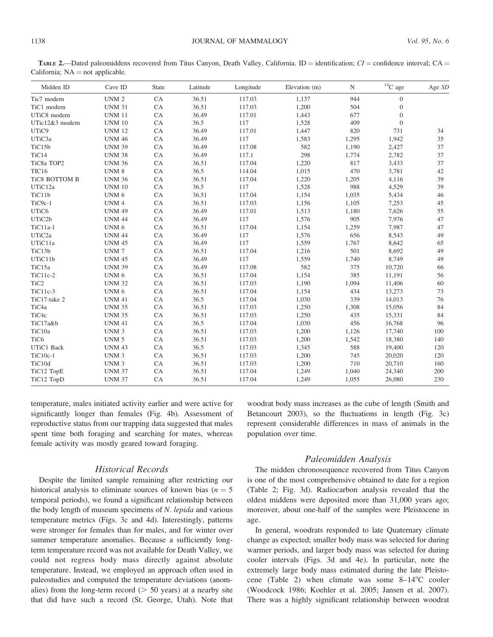TABLE 2.—Dated paleomiddens recovered from Titus Canyon, Death Valley, California. ID = identification;  $CI =$  confidence interval; CA = California;  $NA = not$  applicable.

| Midden ID         | Cave ID          | <b>State</b> | Latitude | Longitude | Elevation (m) | ${\bf N}$ | $^{14}\mathrm{C}$ age | Age SD |
|-------------------|------------------|--------------|----------|-----------|---------------|-----------|-----------------------|--------|
| Tic7 modern       | UNM <sub>2</sub> | CA           | 36.51    | 117.03    | 1,137         | 944       | $\theta$              |        |
| TiC1 modern       | <b>UNM 31</b>    | CA           | 36.51    | 117.03    | 1,200         | 504       | $\theta$              |        |
| UTiC8 modern      | <b>UNM 11</b>    | CA           | 36.49    | 117.01    | 1,443         | 677       | $\theta$              |        |
| UTic12&3 modern   | <b>UNM 10</b>    | CA           | 36.5     | 117       | 1,528         | 409       | $\boldsymbol{0}$      |        |
| UTiC9             | <b>UNM 12</b>    | CA           | 36.49    | 117.01    | 1,447         | 820       | 731                   | 34     |
| UTiC3a            | <b>UNM 46</b>    | CA           | 36.49    | 117       | 1,583         | 1,295     | 1,942                 | 35     |
| TiC15b            | <b>UNM 39</b>    | CA           | 36.49    | 117.08    | 582           | 1,190     | 2,427                 | 37     |
| TiC14             | <b>UNM 38</b>    | CA           | 36.49    | 117.1     | 298           | 1,774     | 2,782                 | 37     |
| TiC8a TOP2        | <b>UNM 36</b>    | CA           | 36.51    | 117.04    | 1,220         | 817       | 3,433                 | 37     |
| TIC16             | UNM 8            | CA           | 36.5     | 114.04    | 1,015         | 470       | 3,781                 | 42     |
| TiC8 BOTTOM B     | <b>UNM 36</b>    | CA           | 36.51    | 117.04    | 1,220         | 1,205     | 4,116                 | 39     |
| UTiC12a           | <b>UNM 10</b>    | CA           | 36.5     | 117       | 1,528         | 988       | 4,529                 | 39     |
| TiC11b            | UNM <sub>6</sub> | CA           | 36.51    | 117.04    | 1,154         | 1,035     | 5,434                 | 46     |
| TiC9c-1           | UNM 4            | CA           | 36.51    | 117.03    | 1,156         | 1,105     | 7,253                 | 45     |
| UTiC <sub>6</sub> | <b>UNM 49</b>    | CA           | 36.49    | 117.01    | 1,513         | 1,180     | 7,626                 | 55     |
| UTiC2b            | <b>UNM 44</b>    | CA           | 36.49    | 117       | 1,576         | 905       | 7,976                 | 47     |
| TiC11a-1          | UNM 6            | CA           | 36.51    | 117.04    | 1,154         | 1,259     | 7,987                 | 47     |
| UTiC2a            | <b>UNM 44</b>    | ${\rm CA}$   | 36.49    | 117       | 1,576         | 656       | 8,543                 | 49     |
| UTiC11a           | <b>UNM 45</b>    | ${\rm CA}$   | 36.49    | 117       | 1,559         | 1,767     | 8,642                 | 65     |
| TiC13b            | UNM7             | ${\rm CA}$   | 36.51    | 117.04    | 1,216         | 501       | 8,692                 | 49     |
| UTiC11b           | <b>UNM 45</b>    | CA           | 36.49    | 117       | 1,559         | 1,740     | 8,749                 | 49     |
| TiC15a            | <b>UNM 39</b>    | CA           | 36.49    | 117.08    | 582           | 375       | 10,720                | 66     |
| TiC11c-2          | UNM <sub>6</sub> | CA           | 36.51    | 117.04    | 1,154         | 385       | 11,191                | 56     |
| TiC <sub>2</sub>  | <b>UNM 32</b>    | CA           | 36.51    | 117.03    | 1,190         | 1,094     | 11,406                | 60     |
| TiC11c-3          | UNM 6            | CA           | 36.51    | 117.04    | 1,154         | 434       | 13,273                | 73     |
| TiC17-take 2      | <b>UNM 41</b>    | CA           | 36.5     | 117.04    | 1,030         | 339       | 14,013                | 76     |
| TiC <sub>4a</sub> | <b>UNM 35</b>    | CA           | 36.51    | 117.03    | 1,250         | 1,308     | 15,056                | 84     |
| TiC4c             | <b>UNM 35</b>    | CA           | 36.51    | 117.03    | 1,250         | 435       | 15,331                | 84     |
| TiC17a&b          | <b>UNM 41</b>    | CA           | 36.5     | 117.04    | 1,030         | 456       | 16,768                | 96     |
| TiC10a            | UNM <sub>3</sub> | CA           | 36.51    | 117.03    | 1,200         | 1,126     | 17,740                | 100    |
| TiC <sub>6</sub>  | UNM <sub>5</sub> | CA           | 36.51    | 117.03    | 1,200         | 1,542     | 18,380                | 140    |
| UTiC1 Back        | <b>UNM 43</b>    | CA           | 36.5     | 117.03    | 1,345         | 588       | 19,400                | 120    |
| TiC10c-1          | UNM <sub>3</sub> | CA           | 36.51    | 117.03    | 1,200         | 745       | 20,020                | 120    |
| TiC10d            | UNM <sub>3</sub> | CA           | 36.51    | 117.03    | 1,200         | 710       | 20,710                | 160    |
| TiC12 TopE        | <b>UNM 37</b>    | CA           | 36.51    | 117.04    | 1,249         | 1,040     | 24,340                | 200    |
| TiC12 TopD        | <b>UNM 37</b>    | CA           | 36.51    | 117.04    | 1,249         | 1,055     | 26,080                | 230    |

temperature, males initiated activity earlier and were active for significantly longer than females (Fig. 4b). Assessment of reproductive status from our trapping data suggested that males spent time both foraging and searching for mates, whereas female activity was mostly geared toward foraging.

Historical Records

Despite the limited sample remaining after restricting our historical analysis to eliminate sources of known bias ( $n = 5$ ) temporal periods), we found a significant relationship between the body length of museum specimens of  $N$ . *lepida* and various temperature metrics (Figs. 3c and 4d). Interestingly, patterns were stronger for females than for males, and for winter over summer temperature anomalies. Because a sufficiently longterm temperature record was not available for Death Valley, we could not regress body mass directly against absolute temperature. Instead, we employed an approach often used in paleostudies and computed the temperature deviations (anomalies) from the long-term record ( $>$  50 years) at a nearby site that did have such a record (St. George, Utah). Note that

woodrat body mass increases as the cube of length (Smith and Betancourt 2003), so the fluctuations in length (Fig. 3c) represent considerable differences in mass of animals in the population over time.

### Paleomidden Analysis

The midden chronosequence recovered from Titus Canyon is one of the most comprehensive obtained to date for a region (Table 2; Fig. 3d). Radiocarbon analysis revealed that the oldest middens were deposited more than 31,000 years ago; moreover, about one-half of the samples were Pleistocene in age.

In general, woodrats responded to late Quaternary climate change as expected; smaller body mass was selected for during warmer periods, and larger body mass was selected for during cooler intervals (Figs. 3d and 4e). In particular, note the extremely large body mass estimated during the late Pleistocene (Table 2) when climate was some  $8-14^{\circ}$ C cooler (Woodcock 1986; Koehler et al. 2005; Jansen et al. 2007). There was a highly significant relationship between woodrat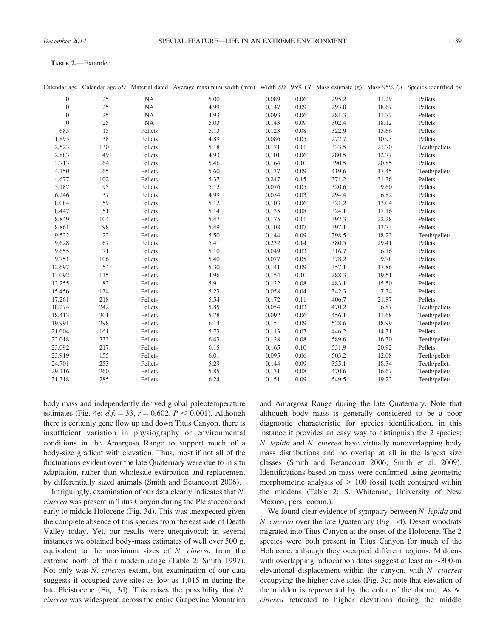#### TABLE 2.—Extended.

|                  |     |         | Calendar age Calendar age SD Material dated Average maximum width (mm) Width SD 95% CI Mass estimate (g) Mass 95% CI Species identified by |       |      |       |       |               |
|------------------|-----|---------|--------------------------------------------------------------------------------------------------------------------------------------------|-------|------|-------|-------|---------------|
| $\boldsymbol{0}$ | 25  | NA      | 5.00                                                                                                                                       | 0.089 | 0.06 | 295.2 | 11.29 | Pellets       |
| $\boldsymbol{0}$ | 25  | NA      | 4.99                                                                                                                                       | 0.147 | 0.09 | 293.8 | 18.67 | Pellets       |
| $\theta$         | 25  | NA      | 4.93                                                                                                                                       | 0.093 | 0.06 | 281.3 | 11.77 | Pellets       |
| $\boldsymbol{0}$ | 25  | NA      | 5.03                                                                                                                                       | 0.143 | 0.09 | 302.4 | 18.12 | Pellets       |
| 685              | 15  | Pellets | 5.13                                                                                                                                       | 0.123 | 0.08 | 322.9 | 15.66 | Pellets       |
| 1,895            | 38  | Pellets | 4.89                                                                                                                                       | 0.086 | 0.05 | 272.7 | 10.93 | Pellets       |
| 2,523            | 130 | Pellets | 5.18                                                                                                                                       | 0.171 | 0.11 | 333.5 | 21.70 | Teeth/pellets |
| 2,883            | 49  | Pellets | 4.93                                                                                                                                       | 0.101 | 0.06 | 280.5 | 12.77 | Pellets       |
| 3,713            | 64  | Pellets | 5.46                                                                                                                                       | 0.164 | 0.10 | 390.5 | 20.85 | Pellets       |
| 4,150            | 65  | Pellets | 5.60                                                                                                                                       | 0.137 | 0.09 | 419.6 | 17.45 | Teeth/pellets |
| 4,677            | 102 | Pellets | 5.37                                                                                                                                       | 0.247 | 0.15 | 371.2 | 31.36 | Pellets       |
| 5,187            | 95  | Pellets | 5.12                                                                                                                                       | 0.076 | 0.05 | 320.6 | 9.60  | Pellets       |
| 6,246            | 37  | Pellets | 4.99                                                                                                                                       | 0.054 | 0.03 | 294.4 | 6.82  | Pellets       |
| 8,084            | 59  | Pellets | 5.12                                                                                                                                       | 0.103 | 0.06 | 321.2 | 13.04 | Pellets       |
| 8,447            | 51  | Pellets | 5.14                                                                                                                                       | 0.135 | 0.08 | 324.1 | 17.16 | Pellets       |
| 8,849            | 104 | Pellets | 5.47                                                                                                                                       | 0.175 | 0.11 | 392.3 | 22.28 | Pellets       |
| 8,861            | 98  | Pellets | 5.49                                                                                                                                       | 0.108 | 0.07 | 397.1 | 13.73 | Pellets       |
| 9,522            | 22  | Pellets | 5.50                                                                                                                                       | 0.144 | 0.09 | 398.5 | 18.23 | Teeth/pellets |
| 9,628            | 67  | Pellets | 5.41                                                                                                                                       | 0.232 | 0.14 | 380.5 | 29.41 | Pellets       |
| 9,655            | 71  | Pellets | 5.10                                                                                                                                       | 0.049 | 0.03 | 316.7 | 6.16  | Pellets       |
| 9,751            | 106 | Pellets | 5.40                                                                                                                                       | 0.077 | 0.05 | 378.2 | 9.78  | Pellets       |
| 12,697           | 54  | Pellets | 5.30                                                                                                                                       | 0.141 | 0.09 | 357.1 | 17.86 | Pellets       |
| 13,092           | 115 | Pellets | 4.96                                                                                                                                       | 0.154 | 0.10 | 288.3 | 19.51 | Pellets       |
| 13,255           | 83  | Pellets | 5.91                                                                                                                                       | 0.122 | 0.08 | 483.1 | 15.50 | Pellets       |
| 15,456           | 134 | Pellets | 5.23                                                                                                                                       | 0.058 | 0.04 | 342.3 | 7.34  | Pellets       |
| 17,261           | 218 | Pellets | 5.54                                                                                                                                       | 0.172 | 0.11 | 406.7 | 21.87 | Pellets       |
| 18,274           | 242 | Pellets | 5.85                                                                                                                                       | 0.054 | 0.03 | 470.2 | 6.87  | Teeth/pellets |
| 18,413           | 301 | Pellets | 5.78                                                                                                                                       | 0.092 | 0.06 | 456.1 | 11.68 | Teeth/pellets |
| 19,991           | 298 | Pellets | 6.14                                                                                                                                       | 0.15  | 0.09 | 528.6 | 18.99 | Teeth/pellets |
| 21,004           | 161 | Pellets | 5.73                                                                                                                                       | 0.113 | 0.07 | 446.2 | 14.31 | Pellets       |
| 22,018           | 333 | Pellets | 6.43                                                                                                                                       | 0.128 | 0.08 | 589.6 | 16.30 | Teeth/pellets |
| 23,092           | 217 | Pellets | 6.15                                                                                                                                       | 0.165 | 0.10 | 531.9 | 20.92 | Pellets       |
| 23,919           | 155 | Pellets | 6.01                                                                                                                                       | 0.095 | 0.06 | 503.2 | 12.08 | Teeth/pellets |
| 24,701           | 253 | Pellets | 5.29                                                                                                                                       | 0.144 | 0.09 | 355.1 | 18.34 | Teeth/pellets |
| 29,116           | 260 | Pellets | 5.85                                                                                                                                       | 0.131 | 0.08 | 470.6 | 16.67 | Teeth/pellets |
| 31,318           | 285 | Pellets | 6.24                                                                                                                                       | 0.151 | 0.09 | 549.5 | 19.22 | Teeth/pellets |

body mass and independently derived global paleotemperature estimates (Fig. 4e;  $df = 33$ ,  $r = 0.602$ ,  $P < 0.001$ ). Although there is certainly gene flow up and down Titus Canyon, there is insufficient variation in physiography or environmental conditions in the Amargosa Range to support much of a body-size gradient with elevation. Thus, most if not all of the fluctuations evident over the late Quaternary were due to in situ adaptation, rather than wholesale extirpation and replacement by differentially sized animals (Smith and Betancourt 2006).

Intriguingly, examination of our data clearly indicates that N. cinerea was present in Titus Canyon during the Pleistocene and early to middle Holocene (Fig. 3d). This was unexpected given the complete absence of this species from the east side of Death Valley today. Yet, our results were unequivocal; in several instances we obtained body-mass estimates of well over 500 g, equivalent to the maximum sizes of N. cinerea from the extreme north of their modern range (Table 2; Smith 1997). Not only was N. cinerea extant, but examination of our data suggests it occupied cave sites as low as 1,015 m during the late Pleistocene (Fig. 3d). This raises the possibility that N. cinerea was widespread across the entire Grapevine Mountains and Amargosa Range during the late Quaternary. Note that although body mass is generally considered to be a poor diagnostic characteristic for species identification, in this instance it provides an easy way to distinguish the 2 species; N. lepida and N. cinerea have virtually nonoverlapping body mass distributions and no overlap at all in the largest size classes (Smith and Betancourt 2006; Smith et al. 2009). Identifications based on mass were confirmed using geometric morphometric analysis of  $> 100$  fossil teeth contained within the middens (Table 2; S. Whiteman, University of New Mexico, pers. comm.).

We found clear evidence of sympatry between N. lepida and N. cinerea over the late Quaternary (Fig. 3d). Desert woodrats migrated into Titus Canyon at the onset of the Holocene. The 2 species were both present in Titus Canyon for much of the Holocene, although they occupied different regions. Middens with overlapping radiocarbon dates suggest at least an  $\sim$ 300-m elevational displacement within the canyon, with N. cinerea occupying the higher cave sites (Fig. 3d; note that elevation of the midden is represented by the color of the datum). As N. cinerea retreated to higher elevations during the middle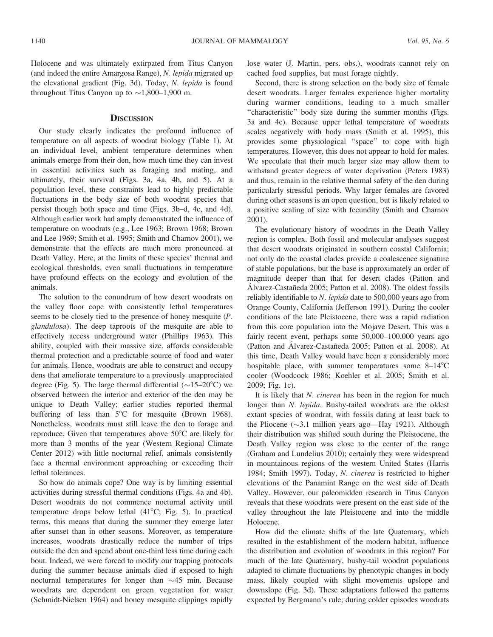Holocene and was ultimately extirpated from Titus Canyon (and indeed the entire Amargosa Range), N. lepida migrated up the elevational gradient (Fig. 3d). Today, N. lepida is found throughout Titus Canyon up to  $\sim$  1,800–1,900 m.

#### **DISCUSSION**

Our study clearly indicates the profound influence of temperature on all aspects of woodrat biology (Table 1). At an individual level, ambient temperature determines when animals emerge from their den, how much time they can invest in essential activities such as foraging and mating, and ultimately, their survival (Figs. 3a, 4a, 4b, and 5). At a population level, these constraints lead to highly predictable fluctuations in the body size of both woodrat species that persist though both space and time (Figs. 3b–d, 4c, and 4d). Although earlier work had amply demonstrated the influence of temperature on woodrats (e.g., Lee 1963; Brown 1968; Brown and Lee 1969; Smith et al. 1995; Smith and Charnov 2001), we demonstrate that the effects are much more pronounced at Death Valley. Here, at the limits of these species' thermal and ecological thresholds, even small fluctuations in temperature have profound effects on the ecology and evolution of the animals.

The solution to the conundrum of how desert woodrats on the valley floor cope with consistently lethal temperatures seems to be closely tied to the presence of honey mesquite (P. glandulosa). The deep taproots of the mesquite are able to effectively access underground water (Phillips 1963). This ability, coupled with their massive size, affords considerable thermal protection and a predictable source of food and water for animals. Hence, woodrats are able to construct and occupy dens that ameliorate temperature to a previously unappreciated degree (Fig. 5). The large thermal differential  $(\sim 15-20^{\circ}C)$  we observed between the interior and exterior of the den may be unique to Death Valley; earlier studies reported thermal buffering of less than  $5^{\circ}$ C for mesquite (Brown 1968). Nonetheless, woodrats must still leave the den to forage and reproduce. Given that temperatures above  $50^{\circ}$ C are likely for more than 3 months of the year (Western Regional Climate Center 2012) with little nocturnal relief, animals consistently face a thermal environment approaching or exceeding their lethal tolerances.

So how do animals cope? One way is by limiting essential activities during stressful thermal conditions (Figs. 4a and 4b). Desert woodrats do not commence nocturnal activity until temperature drops below lethal  $(41^{\circ}C;$  Fig. 5). In practical terms, this means that during the summer they emerge later after sunset than in other seasons. Moreover, as temperature increases, woodrats drastically reduce the number of trips outside the den and spend about one-third less time during each bout. Indeed, we were forced to modify our trapping protocols during the summer because animals died if exposed to high nocturnal temperatures for longer than  $\sim$ 45 min. Because woodrats are dependent on green vegetation for water (Schmidt-Nielsen 1964) and honey mesquite clippings rapidly

lose water (J. Martin, pers. obs.), woodrats cannot rely on cached food supplies, but must forage nightly.

Second, there is strong selection on the body size of female desert woodrats. Larger females experience higher mortality during warmer conditions, leading to a much smaller ''characteristic'' body size during the summer months (Figs. 3a and 4c). Because upper lethal temperature of woodrats scales negatively with body mass (Smith et al. 1995), this provides some physiological ''space'' to cope with high temperatures. However, this does not appear to hold for males. We speculate that their much larger size may allow them to withstand greater degrees of water deprivation (Peters 1983) and thus, remain in the relative thermal safety of the den during particularly stressful periods. Why larger females are favored during other seasons is an open question, but is likely related to a positive scaling of size with fecundity (Smith and Charnov 2001).

The evolutionary history of woodrats in the Death Valley region is complex. Both fossil and molecular analyses suggest that desert woodrats originated in southern coastal California; not only do the coastal clades provide a coalescence signature of stable populations, but the base is approximately an order of magnitude deeper than that for desert clades (Patton and Álvarez-Castañeda 2005; Patton et al. 2008). The oldest fossils reliably identifiable to  $N$ . *lepida* date to 500,000 years ago from Orange County, California (Jefferson 1991). During the cooler conditions of the late Pleistocene, there was a rapid radiation from this core population into the Mojave Desert. This was a fairly recent event, perhaps some 50,000–100,000 years ago (Patton and Álvarez-Castañeda 2005; Patton et al. 2008). At this time, Death Valley would have been a considerably more hospitable place, with summer temperatures some  $8-14^{\circ}C$ cooler (Woodcock 1986; Koehler et al. 2005; Smith et al. 2009; Fig. 1c).

It is likely that N. *cinerea* has been in the region for much longer than N. lepida. Bushy-tailed woodrats are the oldest extant species of woodrat, with fossils dating at least back to the Pliocene ( $\sim$ 3.1 million years ago—Hay 1921). Although their distribution was shifted south during the Pleistocene, the Death Valley region was close to the center of the range (Graham and Lundelius 2010); certainly they were widespread in mountainous regions of the western United States (Harris 1984; Smith 1997). Today, N. cinerea is restricted to higher elevations of the Panamint Range on the west side of Death Valley. However, our paleomidden research in Titus Canyon reveals that these woodrats were present on the east side of the valley throughout the late Pleistocene and into the middle Holocene.

How did the climate shifts of the late Quaternary, which resulted in the establishment of the modern habitat, influence the distribution and evolution of woodrats in this region? For much of the late Quaternary, bushy-tail woodrat populations adapted to climate fluctuations by phenotypic changes in body mass, likely coupled with slight movements upslope and downslope (Fig. 3d). These adaptations followed the patterns expected by Bergmann's rule; during colder episodes woodrats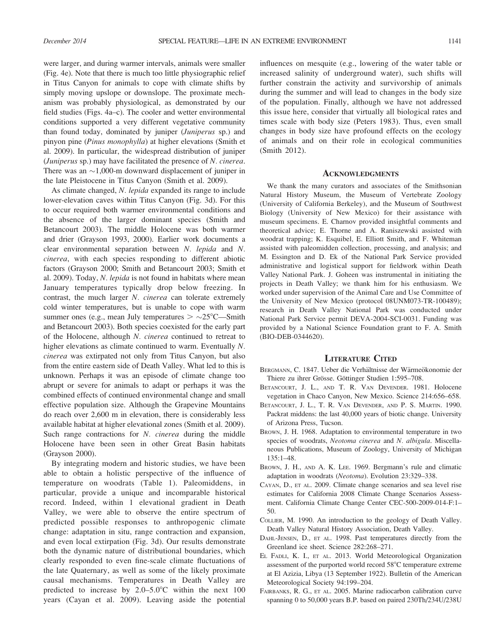were larger, and during warmer intervals, animals were smaller (Fig. 4e). Note that there is much too little physiographic relief in Titus Canyon for animals to cope with climate shifts by simply moving upslope or downslope. The proximate mechanism was probably physiological, as demonstrated by our field studies (Figs. 4a–c). The cooler and wetter environmental conditions supported a very different vegetative community than found today, dominated by juniper (Juniperus sp.) and pinyon pine (Pinus monophylla) at higher elevations (Smith et al. 2009). In particular, the widespread distribution of juniper (Juniperus sp.) may have facilitated the presence of N. cinerea. There was an  $\sim$ 1,000-m downward displacement of juniper in the late Pleistocene in Titus Canyon (Smith et al. 2009).

As climate changed, N. lepida expanded its range to include lower-elevation caves within Titus Canyon (Fig. 3d). For this to occur required both warmer environmental conditions and the absence of the larger dominant species (Smith and Betancourt 2003). The middle Holocene was both warmer and drier (Grayson 1993, 2000). Earlier work documents a clear environmental separation between N. lepida and N. cinerea, with each species responding to different abiotic factors (Grayson 2000; Smith and Betancourt 2003; Smith et al. 2009). Today, N. lepida is not found in habitats where mean January temperatures typically drop below freezing. In contrast, the much larger N. cinerea can tolerate extremely cold winter temperatures, but is unable to cope with warm summer ones (e.g., mean July temperatures  $> \sim 25^{\circ}$ C—Smith and Betancourt 2003). Both species coexisted for the early part of the Holocene, although N. cinerea continued to retreat to higher elevations as climate continued to warm. Eventually N. cinerea was extirpated not only from Titus Canyon, but also from the entire eastern side of Death Valley. What led to this is unknown. Perhaps it was an episode of climate change too abrupt or severe for animals to adapt or perhaps it was the combined effects of continued environmental change and small effective population size. Although the Grapevine Mountains do reach over 2,600 m in elevation, there is considerably less available habitat at higher elevational zones (Smith et al. 2009). Such range contractions for N. cinerea during the middle Holocene have been seen in other Great Basin habitats (Grayson 2000).

By integrating modern and historic studies, we have been able to obtain a holistic perspective of the influence of temperature on woodrats (Table 1). Paleomiddens, in particular, provide a unique and incomparable historical record. Indeed, within 1 elevational gradient in Death Valley, we were able to observe the entire spectrum of predicted possible responses to anthropogenic climate change: adaptation in situ, range contraction and expansion, and even local extirpation (Fig. 3d). Our results demonstrate both the dynamic nature of distributional boundaries, which clearly responded to even fine-scale climate fluctuations of the late Quaternary, as well as some of the likely proximate causal mechanisms. Temperatures in Death Valley are predicted to increase by  $2.0-5.0^{\circ}$ C within the next 100 years (Cayan et al. 2009). Leaving aside the potential influences on mesquite (e.g., lowering of the water table or increased salinity of underground water), such shifts will further constrain the activity and survivorship of animals during the summer and will lead to changes in the body size of the population. Finally, although we have not addressed this issue here, consider that virtually all biological rates and times scale with body size (Peters 1983). Thus, even small changes in body size have profound effects on the ecology of animals and on their role in ecological communities (Smith 2012).

#### **ACKNOWLEDGMENTS**

We thank the many curators and associates of the Smithsonian Natural History Museum, the Museum of Vertebrate Zoology (University of California Berkeley), and the Museum of Southwest Biology (University of New Mexico) for their assistance with museum specimens. E. Charnov provided insightful comments and theoretical advice; E. Thorne and A. Raniszewski assisted with woodrat trapping; K. Esquibel, E. Elliott Smith, and F. Whiteman assisted with paleomidden collection, processing, and analysis; and M. Essington and D. Ek of the National Park Service provided administrative and logistical support for fieldwork within Death Valley National Park. J. Goheen was instrumental in initiating the projects in Death Valley; we thank him for his enthusiasm. We worked under supervision of the Animal Care and Use Committee of the University of New Mexico (protocol 08UNM073-TR-100489); research in Death Valley National Park was conducted under National Park Service permit DEVA-2004-SCI-0031. Funding was provided by a National Science Foundation grant to F. A. Smith (BIO-DEB-0344620).

#### LITERATURE CITED

- BERGMANN, C. 1847. Ueber die Verhältnisse der Wärmeökonomie der Thiere zu ihrer Grösse. Göttinger Studien 1:595–708.
- BETANCOURT, J. L., AND T. R. VAN DEVENDER. 1981. Holocene vegetation in Chaco Canyon, New Mexico. Science 214:656–658.
- BETANCOURT, J. L., T. R. VAN DEVENDER, AND P. S. MARTIN. 1990. Packrat middens: the last 40,000 years of biotic change. University of Arizona Press, Tucson.
- BROWN, J. H. 1968. Adaptation to environmental temperature in two species of woodrats, Neotoma cinerea and N. albigula. Miscellaneous Publications, Museum of Zoology, University of Michigan 135:1–48.
- BROWN, J. H., AND A. K. LEE. 1969. Bergmann's rule and climatic adaptation in woodrats (Neotoma). Evolution 23:329–338.
- CAYAN, D., ET AL. 2009. Climate change scenarios and sea level rise estimates for California 2008 Climate Change Scenarios Assessment. California Climate Change Center CEC-500-2009-014-F:1– 50.
- COLLIER, M. 1990. An introduction to the geology of Death Valley. Death Valley Natural History Association, Death Valley.
- DAHL-JENSEN, D., ET AL. 1998. Past temperatures directly from the Greenland ice sheet. Science 282:268–271.
- EL FADLI, K. I., ET AL. 2013. World Meteorological Organization assessment of the purported world record  $58^{\circ}$ C temperature extreme at El Azizia, Libya (13 September 1922). Bulletin of the American Meteorological Society 94:199–204.
- FAIRBANKS, R. G., ET AL. 2005. Marine radiocarbon calibration curve spanning 0 to 50,000 years B.P. based on paired 230Th/234U/238U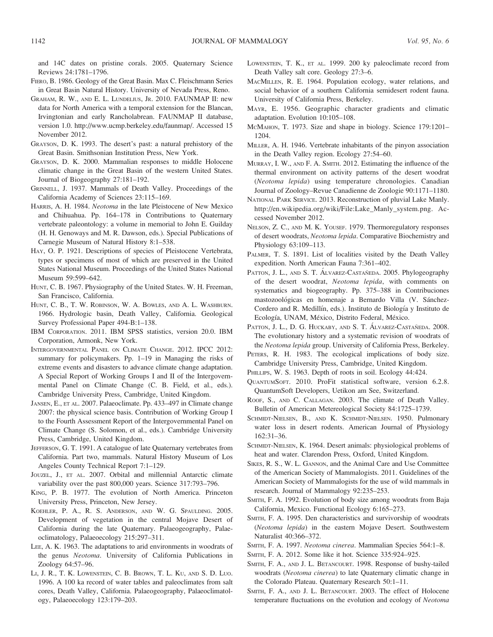and 14C dates on pristine corals. 2005. Quaternary Science Reviews 24:1781–1796.

- FIERO, B. 1986. Geology of the Great Basin. Max C. Fleischmann Series in Great Basin Natural History. University of Nevada Press, Reno.
- GRAHAM, R. W., AND E. L. LUNDELIUS, JR. 2010. FAUNMAP II: new data for North America with a temporal extension for the Blancan, Irvingtonian and early Rancholabrean. FAUNMAP II database, version 1.0. http://www.ucmp.berkeley.edu/faunmap/. Accessed 15 November 2012.
- GRAYSON, D. K. 1993. The desert's past: a natural prehistory of the Great Basin. Smithsonian Institution Press, New York.
- GRAYSON, D. K. 2000. Mammalian responses to middle Holocene climatic change in the Great Basin of the western United States. Journal of Biogeography 27:181–192.
- GRINNELL, J. 1937. Mammals of Death Valley. Proceedings of the California Academy of Sciences 23:115–169.
- HARRIS, A. H. 1984. Neotoma in the late Pleistocene of New Mexico and Chihuahua. Pp. 164–178 in Contributions to Quaternary vertebrate paleontology: a volume in memorial to John E. Guilday (H. H. Genoways and M. R. Dawson, eds.). Special Publications of Carnegie Museum of Natural History 8:1–538.
- HAY, O. P. 1921. Descriptions of species of Pleistocene Vertebrata, types or specimens of most of which are preserved in the United States National Museum. Proceedings of the United States National Museum 59:599–642.
- HUNT, C. B. 1967. Physiography of the United States. W. H. Freeman, San Francisco, California.
- HUNT, C. B., T. W. ROBINSON, W. A. BOWLES, AND A. L. WASHBURN. 1966. Hydrologic basin, Death Valley, California. Geological Survey Professional Paper 494-B:1–138.
- IBM CORPORATION. 2011. IBM SPSS statistics, version 20.0. IBM Corporation, Armonk, New York.
- INTERGOVERNMENTAL PANEL ON CLIMATE CHANGE. 2012. IPCC 2012: summary for policymakers. Pp. 1–19 in Managing the risks of extreme events and disasters to advance climate change adaptation. A Special Report of Working Groups I and II of the Intergovernmental Panel on Climate Change (C. B. Field, et al., eds.). Cambridge University Press, Cambridge, United Kingdom.
- JANSEN, E., ET AL. 2007. Palaeoclimate. Pp. 433–497 in Climate change 2007: the physical science basis. Contribution of Working Group I to the Fourth Assessment Report of the Intergovernmental Panel on Climate Change (S. Solomon, et al., eds.). Cambridge University Press, Cambridge, United Kingdom.
- JEFFERSON, G. T. 1991. A catalogue of late Quaternary vertebrates from California. Part two, mammals. Natural History Museum of Los Angeles County Technical Report 7:1–129.
- JOUZEL, J., ET AL. 2007. Orbital and millennial Antarctic climate variability over the past 800,000 years. Science 317:793–796.
- KING, P. B. 1977. The evolution of North America. Princeton University Press, Princeton, New Jersey.
- KOEHLER, P. A., R. S. ANDERSON, AND W. G. SPAULDING. 2005. Development of vegetation in the central Mojave Desert of California during the late Quaternary. Palaeogeography, Palaeoclimatology, Palaeoecology 215:297–311.
- LEE, A. K. 1963. The adaptations to arid environments in woodrats of the genus Neotoma. University of California Publications in Zoology 64:57–96.
- LI, J. R., T. K. LOWENSTEIN, C. B. BROWN, T. L. KU, AND S. D. LUO. 1996. A 100 ka record of water tables and paleoclimates from salt cores, Death Valley, California. Palaeogeography, Palaeoclimatology, Palaeoecology 123:179–203.
- LOWENSTEIN, T. K., ET AL. 1999. 200 ky paleoclimate record from Death Valley salt core. Geology 27:3–6.
- MACMILLEN, R. E. 1964. Population ecology, water relations, and social behavior of a southern California semidesert rodent fauna. University of California Press, Berkeley.
- MAYR, E. 1956. Geographic character gradients and climatic adaptation. Evolution 10:105–108.
- MCMAHON, T. 1973. Size and shape in biology. Science 179:1201– 1204.
- MILLER, A. H. 1946. Vertebrate inhabitants of the pinyon association in the Death Valley region. Ecology 27:54–60.
- MURRAY, I. W., AND F. A. SMITH. 2012. Estimating the influence of the thermal environment on activity patterns of the desert woodrat (Neotoma lepida) using temperature chronologies. Canadian Journal of Zoology–Revue Canadienne de Zoologie 90:1171–1180.
- NATIONAL PARK SERVICE. 2013. Reconstruction of pluvial Lake Manly. http://en.wikipedia.org/wiki/File:Lake\_Manly\_system.png. Accessed November 2012.
- NELSON, Z. C., AND M. K. YOUSEF. 1979. Thermoregulatory responses of desert woodrats, Neotoma lepida. Comparative Biochemistry and Physiology 63:109–113.
- PALMER, T. S. 1891. List of localities visited by the Death Valley expedition. North American Fauna 7:361–402.
- PATTON, J. L., AND S. T. ALVAREZ-CASTAÑEDA. 2005. Phylogeography of the desert woodrat, Neotoma lepida, with comments on systematics and biogeography. Pp. 375–388 in Contribuciones mastozoológicas en homenaje a Bernardo Villa (V. Sánchez-Cordero and R. Medillín, eds.). Instituto de Biología y Instituto de Ecología, UNAM, México, Distrito Federal, México.
- PATTON, J. L., D. G. HUCKABY, AND S. T. ÁLVAREZ-CASTAÑEDA. 2008. The evolutionary history and a systematic revision of woodrats of the Neotoma lepida group. University of California Press, Berkeley.
- PETERS, R. H. 1983. The ecological implications of body size. Cambridge University Press, Cambridge, United Kingdom.
- PHILLIPS, W. S. 1963. Depth of roots in soil. Ecology 44:424.
- QUANTUMSOFT. 2010. ProFit statistical software, version 6.2.8. QuantumSoft Developers, Uetikon am See, Switzerland.
- ROOF, S., AND C. CALLAGAN. 2003. The climate of Death Valley. Bulletin of American Metereological Society 84:1725–1739.
- SCHMIDT-NIELSEN, B., AND K. SCHMIDT-NIELSEN. 1950. Pulmonary water loss in desert rodents. American Journal of Physiology 162:31–36.
- SCHMIDT-NIELSEN, K. 1964. Desert animals: physiological problems of heat and water. Clarendon Press, Oxford, United Kingdom.
- SIKES, R. S., W. L. GANNON, and the Animal Care and Use Committee of the American Society of Mammalogists. 2011. Guidelines of the American Society of Mammalogists for the use of wild mammals in research. Journal of Mammalogy 92:235–253.
- SMITH, F. A. 1992. Evolution of body size among woodrats from Baja California, Mexico. Functional Ecology 6:165–273.
- SMITH, F. A. 1995. Den characteristics and survivorship of woodrats (Neotoma lepida) in the eastern Mojave Desert. Southwestern Naturalist 40:366–372.
- SMITH, F. A. 1997. Neotoma cinerea. Mammalian Species 564:1–8.
- SMITH, F. A. 2012. Some like it hot. Science 335:924–925.
- SMITH, F. A., AND J. L. BETANCOURT. 1998. Response of bushy-tailed woodrats (Neotoma cinerea) to late Quaternary climatic change in the Colorado Plateau. Quaternary Research 50:1–11.
- SMITH, F. A., AND J. L. BETANCOURT. 2003. The effect of Holocene temperature fluctuations on the evolution and ecology of Neotoma